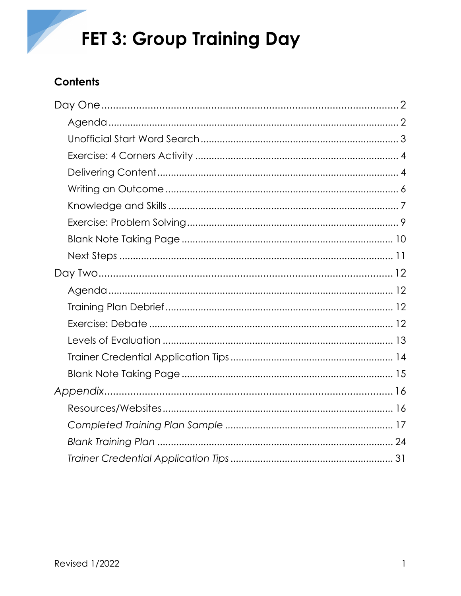

# **Contents**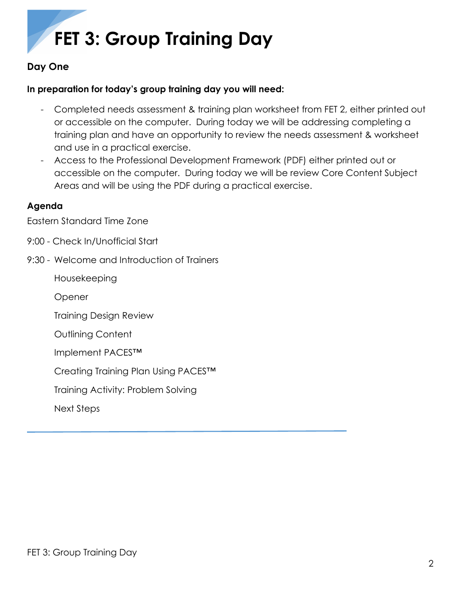# <span id="page-1-0"></span>**Day One**

# **In preparation for today's group training day you will need:**

- Completed needs assessment & training plan worksheet from FET 2, either printed out or accessible on the computer. During today we will be addressing completing a training plan and have an opportunity to review the needs assessment & worksheet and use in a practical exercise.
- Access to the Professional Development Framework (PDF) either printed out or accessible on the computer. During today we will be review Core Content Subject Areas and will be using the PDF during a practical exercise.

## <span id="page-1-1"></span>**Agenda**

Eastern Standard Time Zone

- 9:00 Check In/Unofficial Start
- 9:30 Welcome and Introduction of Trainers

Housekeeping

Opener

Training Design Review

Outlining Content

Implement PACES™

Creating Training Plan Using PACES™

Training Activity: Problem Solving

Next Steps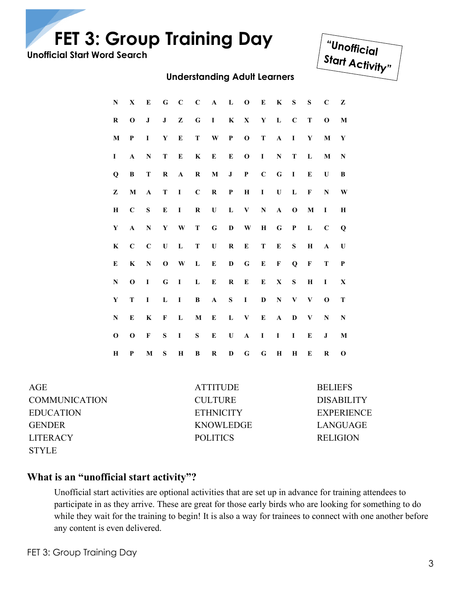<span id="page-2-0"></span>**Unofficial Start Word Search**



## **Understanding Adult Learners**

| ${\bf N}$   | $\mathbf X$  | Е            | G            | $\mathbf C$  | $\mathbf C$ | $\mathbf A$  | ${\bf L}$    | $\mathbf{0}$ | ${\bf E}$   | $\bf K$      | ${\bf S}$      | ${\bf S}$    | $\mathbf C$  | Z           |
|-------------|--------------|--------------|--------------|--------------|-------------|--------------|--------------|--------------|-------------|--------------|----------------|--------------|--------------|-------------|
| $\bf R$     | $\mathbf{o}$ | ${\bf J}$    | $\mathbf{J}$ | ${\bf z}$    | $\bf G$     | $\mathbf{I}$ | $\mathbf{K}$ | $\mathbf X$  |             | $Y$ L        | $\mathbf C$    | ${\bf T}$    | $\mathbf 0$  | $\mathbf M$ |
| $\mathbf M$ | P            | I            | $\mathbf Y$  | ${\bf E}$    | $\mathbf T$ | W            | $\mathbf P$  | $\mathbf 0$  | ${\bf T}$   | $\mathbf{A}$ | $\blacksquare$ | $\mathbf Y$  | M            | $\mathbf Y$ |
| Ι           | $\mathbf{A}$ | ${\bf N}$    | T            | Е            | $\bf K$     | ${\bf E}$    | E            | $\mathbf 0$  | $\mathbf I$ | ${\bf N}$    | $\mathbf T$    | L            | M            | ${\bf N}$   |
| $\mathbf Q$ | B            | T            | $\bf R$      | $\mathbf{A}$ | $\bf R$     | $\mathbf M$  | $\bf J$      | $\mathbf{P}$ | $\mathbf C$ | ${\bf G}$    | $\mathbf{I}$   | E            | U            | B           |
| Z           | M            | $\mathbf{A}$ | ${\bf T}$    | $\bf{I}$     | $\mathbf C$ | $\bf R$      | $\mathbf P$  | $\bf H$      | $\bf{I}$    | U            | L              | F            | ${\bf N}$    | W           |
| Н           | $\mathbf C$  | S            | ${\bf E}$    | I            | $\bf R$     | U            | ${\bf L}$    | $\mathbf{V}$ | N           | ${\bf A}$    | $\mathbf 0$    | M            | I            | Н           |
| $\mathbf Y$ | $\mathbf{A}$ | ${\bf N}$    | $\mathbf Y$  | W            | T           | ${\bf G}$    | $\mathbf D$  | $\mathbf{W}$ | $\bf H$     | ${\bf G}$    | $\mathbf P$    | $\mathbf L$  | $\mathbf C$  | Q           |
| K           | $\mathbf C$  | $\mathbf C$  | U            | $\mathbf L$  | T           | U            | $\bf R$      | ${\bf E}$    | T           | ${\bf E}$    | ${\bf S}$      | Н            | $\mathbf{A}$ | U           |
| ${\bf E}$   | $\bf K$      | $\mathbf N$  | $\mathbf 0$  | W            | $\mathbf L$ | ${\bf E}$    | $\mathbf D$  | ${\bf G}$    | ${\bf E}$   | $\mathbf F$  | $\bf{Q}$       | $\mathbf F$  | T            | $\mathbf P$ |
| $\mathbf N$ | $\mathbf 0$  | I            | $\bf G$      | $\bf I$      | $\mathbf L$ | ${\bf E}$    | $\bf R$      | E            | E           | $\mathbf X$  | ${\bf S}$      | H            | $\mathbf I$  | X           |
| $\mathbf Y$ | T            | I            | L            | $\bf{I}$     | B           | $\mathbf A$  | ${\bf S}$    | $\bf{I}$     | D           | ${\bf N}$    | $\mathbf{V}$   | $\mathbf{V}$ | $\mathbf{o}$ | $\mathbf T$ |
| N           | E            | K            | F            | L            | M           | E            | L            | $\bf{V}$     | E           | $\mathbf{A}$ | D              | $\mathbf{V}$ | ${\bf N}$    | $\mathbf N$ |
| $\mathbf 0$ | $\mathbf 0$  | F            | ${\bf S}$    | I            | ${\bf S}$   | E            | U            | $\mathbf{A}$ | $\bf{I}$    | I            | $\mathbf I$    | E            | J            | M           |
| Н           | P            | $\mathbf M$  | S            | $\mathbf H$  | B           | $\bf R$      | $\mathbf D$  | G            | G           | H            | H              | Е            | R            | $\mathbf 0$ |

COMMUNICATION CULTURE DISABILITY EDUCATION ETHNICITY EXPERIENCE GENDER KNOWLEDGE LANGUAGE LITERACY POLITICS RELIGION STYLE

AGE ATTITUDE BELIEFS

# **What is an "unofficial start activity"?**

Unofficial start activities are optional activities that are set up in advance for training attendees to participate in as they arrive. These are great for those early birds who are looking for something to do while they wait for the training to begin! It is also a way for trainees to connect with one another before any content is even delivered.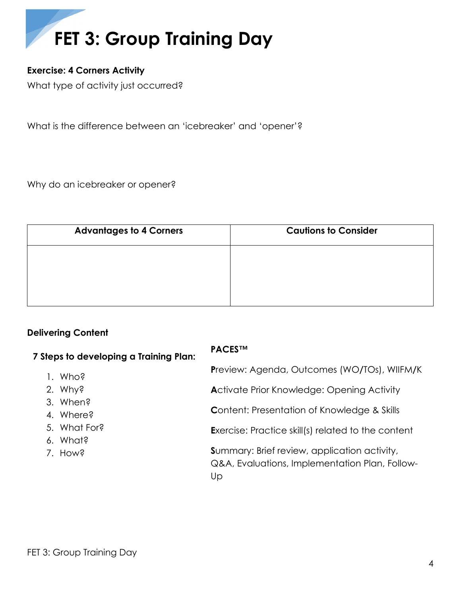

# <span id="page-3-0"></span>**Exercise: 4 Corners Activity**

What type of activity just occurred?

What is the difference between an 'icebreaker' and 'opener'?

Why do an icebreaker or opener?

| <b>Advantages to 4 Corners</b> | <b>Cautions to Consider</b> |
|--------------------------------|-----------------------------|
|                                |                             |
|                                |                             |
|                                |                             |

## <span id="page-3-1"></span>**Delivering Content**

| 7 Steps to developing a Training Plan: | <b>PACESTM</b>                                                                                              |  |  |  |
|----------------------------------------|-------------------------------------------------------------------------------------------------------------|--|--|--|
| 1. Who?                                | <b>Preview: Agenda, Outcomes (WO/TOs), WIIFM/K</b>                                                          |  |  |  |
| 2. Why?                                | <b>Activate Prior Knowledge: Opening Activity</b>                                                           |  |  |  |
| 3. When?<br>4. Where?                  | <b>Content: Presentation of Knowledge &amp; Skills</b>                                                      |  |  |  |
| 5. What For?<br>6. What?               | <b>Exercise: Practice skill(s) related to the content</b>                                                   |  |  |  |
| 7. How?                                | <b>Summary: Brief review, application activity,</b><br>Q&A, Evaluations, Implementation Plan, Follow-<br>Up |  |  |  |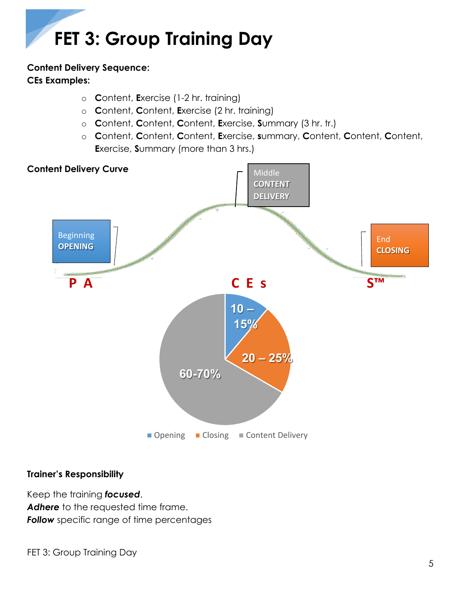# **Content Delivery Sequence: CEs Examples:**

- o **C**ontent, **E**xercise (1-2 hr. training)
- o **C**ontent, **C**ontent, **E**xercise (2 hr. training)
- o **C**ontent, **C**ontent, **C**ontent, **E**xercise, **S**ummary (3 hr. tr.)
- o **C**ontent, **C**ontent, **C**ontent, **E**xercise, **s**ummary, **C**ontent, **C**ontent, **C**ontent, **E**xercise, **S**ummary (more than 3 hrs.)



# **Trainer's Responsibility**

Keep the training *focused*. Adhere to the requested time frame. **Follow** specific range of time percentages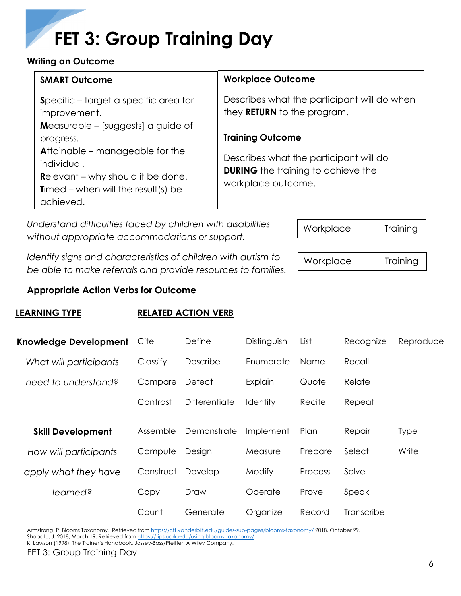## <span id="page-5-0"></span>**Writing an Outcome**

| <b>SMART Outcome</b>                                                                                                                                                                                           | <b>Workplace Outcome</b>                                                                                                             |
|----------------------------------------------------------------------------------------------------------------------------------------------------------------------------------------------------------------|--------------------------------------------------------------------------------------------------------------------------------------|
| Specific - target a specific area for<br>improvement.                                                                                                                                                          | Describes what the participant will do when<br>they <b>RETURN</b> to the program.                                                    |
| <b>Measurable – [suggests] a guide of</b><br>progress.<br>Attainable - manageable for the<br>individual.<br><b>Relevant</b> – why should it be done.<br><b>Timed</b> – when will the result(s) be<br>achieved. | <b>Training Outcome</b><br>Describes what the participant will do<br><b>DURING</b> the training to achieve the<br>workplace outcome. |

*Understand difficulties faced by children with disabilities without appropriate accommodations or support.*

*Identify signs and characteristics of children with autism to be able to make referrals and provide resources to families.*

**Appropriate Action Verbs for Outcome**

# **LEARNING TYPE RELATED ACTION VERB**

| <b>Knowledge Development</b> | Cite      | Define        | Distinguish | List    | Recognize  | Reproduce   |
|------------------------------|-----------|---------------|-------------|---------|------------|-------------|
| What will participants       | Classify  | Describe      | Enumerate   | Name    | Recall     |             |
| need to understand?          | Compare   | Detect        | Explain     | Quote   | Relate     |             |
|                              | Contrast  | Differentiate | Identify    | Recite  | Repeat     |             |
| <b>Skill Development</b>     | Assemble  | Demonstrate   | Implement   | Plan    | Repair     | <b>Type</b> |
| How will participants        | Compute   | Design        | Measure     | Prepare | Select     | Write       |
| apply what they have         | Construct | Develop       | Modify      | Process | Solve      |             |
| learned?                     | Copy      | Draw          | Operate     | Prove   | Speak      |             |
|                              | Count     | Generate      | Organize    | Record  | Transcribe |             |

Armstrong, P. Blooms Taxonomy. Retrieved from<https://cft.vanderbilt.edu/guides-sub-pages/blooms-taxonomy/> 2018, October 29. Shabatu, J. 2018, March 19. Retrieved fro[m https://tips.uark.edu/using-blooms-taxonomy/.](https://tips.uark.edu/using-blooms-taxonomy/) 

K. Lawson (1998). The Trainer's Handbook, Jossey-Bass/Pfeiffer, A Wiley Company.

Workplace Training

Workplace Training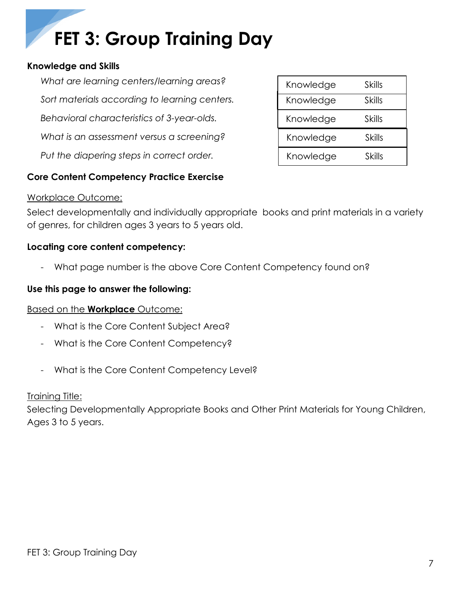## <span id="page-6-0"></span>**Knowledge and Skills**

*What are learning centers/learning areas? Sort materials according to learning centers. Behavioral characteristics of 3-year-olds. What is an assessment versus a screening? Put the diapering steps in correct order.*

| Knowledge | Skills |
|-----------|--------|
| Knowledge | Skills |
| Knowledge | Skills |
| Knowledge | Skills |
| Knowledge | Skills |

# **Core Content Competency Practice Exercise**

## Workplace Outcome:

Select developmentally and individually appropriate books and print materials in a variety of genres, for children ages 3 years to 5 years old.

# **Locating core content competency:**

- What page number is the above Core Content Competency found on?

## **Use this page to answer the following:**

## Based on the **Workplace** Outcome:

- What is the Core Content Subject Area?
- What is the Core Content Competency?
- What is the Core Content Competency Level?

## **Training Title:**

Selecting Developmentally Appropriate Books and Other Print Materials for Young Children, Ages 3 to 5 years.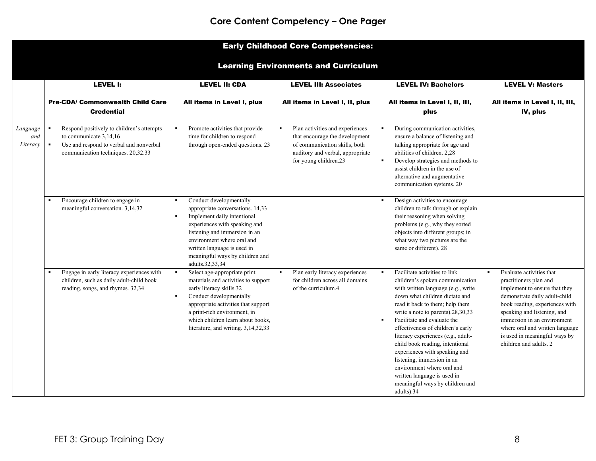# Early Childhood Core Competencies:

## Learning Environments and Curriculum

|                             | LEVEL I:                                                                                                                                                               | <b>LEVEL II: CDA</b>                                                                                                                                                                                                                                                                                                | <b>LEVEL III: Associates</b>                                                                                                                                                      | <b>LEVEL IV: Bachelors</b>                                                                                                                                                                                                                                                                                                                                                                                                                                                                                                                                                     | <b>LEVEL V: Masters</b>                                                                                                                                                                                                                                                                                                              |
|-----------------------------|------------------------------------------------------------------------------------------------------------------------------------------------------------------------|---------------------------------------------------------------------------------------------------------------------------------------------------------------------------------------------------------------------------------------------------------------------------------------------------------------------|-----------------------------------------------------------------------------------------------------------------------------------------------------------------------------------|--------------------------------------------------------------------------------------------------------------------------------------------------------------------------------------------------------------------------------------------------------------------------------------------------------------------------------------------------------------------------------------------------------------------------------------------------------------------------------------------------------------------------------------------------------------------------------|--------------------------------------------------------------------------------------------------------------------------------------------------------------------------------------------------------------------------------------------------------------------------------------------------------------------------------------|
|                             | <b>Pre-CDA/ Commonwealth Child Care</b><br><b>Credential</b>                                                                                                           | All items in Level I, plus                                                                                                                                                                                                                                                                                          | All items in Level I, II, plus                                                                                                                                                    | All items in Level I, II, III,<br>plus                                                                                                                                                                                                                                                                                                                                                                                                                                                                                                                                         | All items in Level I, II, III,<br>IV, plus                                                                                                                                                                                                                                                                                           |
| Language<br>and<br>Literacy | Respond positively to children's attempts<br>to communicate.3,14,16<br>Use and respond to verbal and nonverbal<br>$\blacksquare$<br>communication techniques. 20,32.33 | Promote activities that provide<br>$\blacksquare$<br>time for children to respond<br>through open-ended questions. 23                                                                                                                                                                                               | Plan activities and experiences<br>$\blacksquare$<br>that encourage the development<br>of communication skills, both<br>auditory and verbal, appropriate<br>for young children.23 | During communication activities,<br>ensure a balance of listening and<br>talking appropriate for age and<br>abilities of children. 2.28<br>Develop strategies and methods to<br>٠<br>assist children in the use of<br>alternative and augmentative<br>communication systems. 20                                                                                                                                                                                                                                                                                                |                                                                                                                                                                                                                                                                                                                                      |
|                             | Encourage children to engage in<br>$\blacksquare$<br>meaningful conversation. 3,14,32                                                                                  | Conduct developmentally<br>$\blacksquare$<br>appropriate conversations. 14,33<br>Implement daily intentional<br>$\blacksquare$<br>experiences with speaking and<br>listening and immersion in an<br>environment where oral and<br>written language is used in<br>meaningful ways by children and<br>adults.32,33,34 |                                                                                                                                                                                   | Design activities to encourage<br>$\blacksquare$<br>children to talk through or explain<br>their reasoning when solving<br>problems (e.g., why they sorted<br>objects into different groups; in<br>what way two pictures are the<br>same or different). 28                                                                                                                                                                                                                                                                                                                     |                                                                                                                                                                                                                                                                                                                                      |
|                             | Engage in early literacy experiences with<br>$\blacksquare$<br>children, such as daily adult-child book<br>reading, songs, and rhymes. 32,34                           | Select age-appropriate print<br>$\blacksquare$<br>materials and activities to support<br>early literacy skills.32<br>Conduct developmentally<br>$\blacksquare$<br>appropriate activities that support<br>a print-rich environment, in<br>which children learn about books,<br>literature, and writing. 3,14,32,33   | Plan early literacy experiences<br>$\blacksquare$<br>for children across all domains<br>of the curriculum.4                                                                       | Facilitate activities to link<br>$\blacksquare$<br>children's spoken communication<br>with written language (e.g., write<br>down what children dictate and<br>read it back to them; help them<br>write a note to parents).28,30,33<br>Facilitate and evaluate the<br>$\blacksquare$<br>effectiveness of children's early<br>literacy experiences (e.g., adult-<br>child book reading, intentional<br>experiences with speaking and<br>listening, immersion in an<br>environment where oral and<br>written language is used in<br>meaningful ways by children and<br>adults).34 | Evaluate activities that<br>$\blacksquare$<br>practitioners plan and<br>implement to ensure that they<br>demonstrate daily adult-child<br>book reading, experiences with<br>speaking and listening, and<br>immersion in an environment<br>where oral and written language<br>is used in meaningful ways by<br>children and adults. 2 |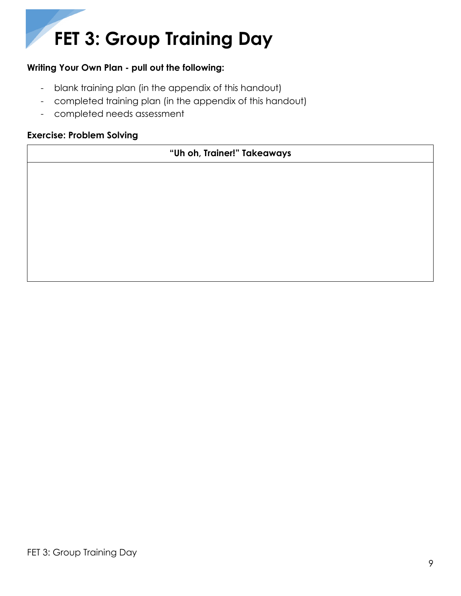# **Writing Your Own Plan - pull out the following:**

- blank training plan (in the appendix of this handout)
- completed training plan (in the appendix of this handout)
- completed needs assessment

## <span id="page-8-0"></span>**Exercise: Problem Solving**

# **"Uh oh, Trainer!" Takeaways**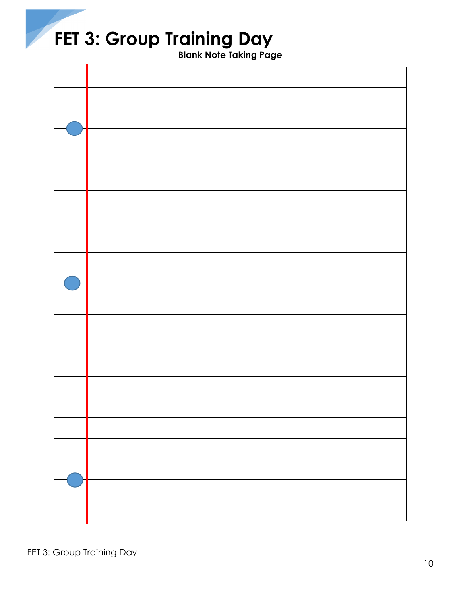**Blank Note Taking Page**

<span id="page-9-0"></span>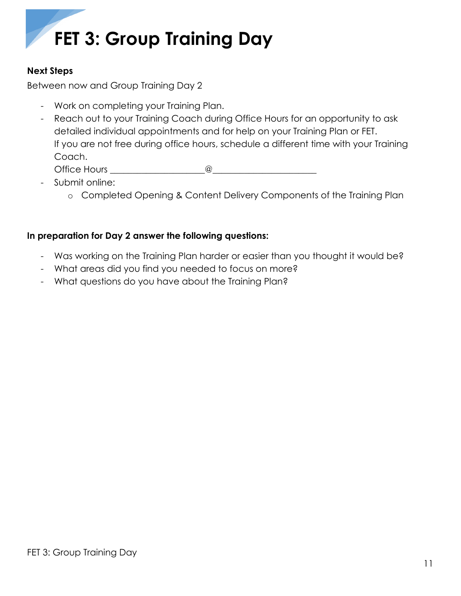# <span id="page-10-0"></span>**Next Steps**

Between now and Group Training Day 2

- Work on completing your Training Plan.
- Reach out to your Training Coach during Office Hours for an opportunity to ask detailed individual appointments and for help on your Training Plan or FET. If you are not free during office hours, schedule a different time with your Training Coach.

Office Hours  $\qquad \qquad \textcircled{\qquad}$ 

- Submit online:
	- o Completed Opening & Content Delivery Components of the Training Plan

# **In preparation for Day 2 answer the following questions:**

- Was working on the Training Plan harder or easier than you thought it would be?
- What areas did you find you needed to focus on more?
- What questions do you have about the Training Plan?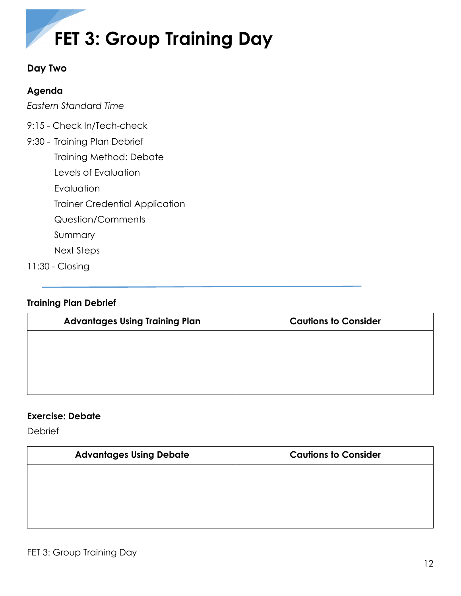

# <span id="page-11-0"></span>**Day Two**

# <span id="page-11-1"></span>**Agenda**

*Eastern Standard Time*

- 9:15 Check In/Tech-check
- 9:30 Training Plan Debrief

Training Method: Debate

Levels of Evaluation

Evaluation

Trainer Credential Application

Question/Comments

Summary

Next Steps

11:30 - Closing

# <span id="page-11-2"></span>**Training Plan Debrief**

| <b>Advantages Using Training Plan</b> | <b>Cautions to Consider</b> |
|---------------------------------------|-----------------------------|
|                                       |                             |
|                                       |                             |
|                                       |                             |
|                                       |                             |

# <span id="page-11-3"></span>**Exercise: Debate**

**Debrief** 

| <b>Advantages Using Debate</b> | <b>Cautions to Consider</b> |
|--------------------------------|-----------------------------|
|                                |                             |
|                                |                             |
|                                |                             |
|                                |                             |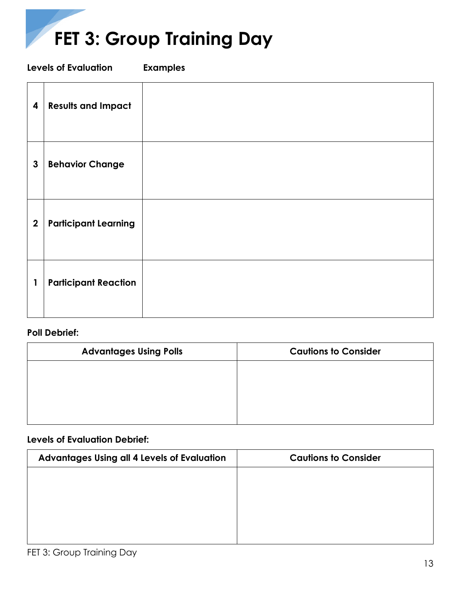

<span id="page-12-0"></span>**Levels of Evaluation Examples**

| 4                | <b>Results and Impact</b>   |  |
|------------------|-----------------------------|--|
| $\mathbf{3}$     | <b>Behavior Change</b>      |  |
| $\boldsymbol{2}$ | <b>Participant Learning</b> |  |
| $\mathbf{1}$     | <b>Participant Reaction</b> |  |

# **Poll Debrief:**

| <b>Advantages Using Polls</b> | <b>Cautions to Consider</b> |
|-------------------------------|-----------------------------|
|                               |                             |
|                               |                             |
|                               |                             |
|                               |                             |

## **Levels of Evaluation Debrief:**

| Advantages Using all 4 Levels of Evaluation | <b>Cautions to Consider</b> |
|---------------------------------------------|-----------------------------|
|                                             |                             |
|                                             |                             |
|                                             |                             |
|                                             |                             |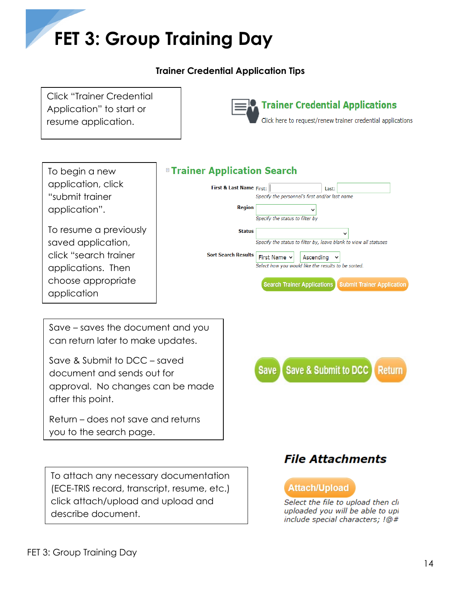# **Trainer Credential Application Tips**

<span id="page-13-0"></span>Click "Trainer Credential Application" to start or resume application.



To begin a new application, click "submit trainer application".

To resume a previously saved application, click "search trainer applications. Then choose appropriate application

# *B* **Trainer Application Search**



Save – saves the document and you can return later to make updates.

Save & Submit to DCC – saved document and sends out for approval. No changes can be made after this point.

Return – does not save and returns you to the search page.

To attach any necessary documentation (ECE-TRIS record, transcript, resume, etc.) click attach/upload and upload and describe document.



# **File Attachments**

# **Attach/Upload**

Select the file to upload then cli uploaded you will be able to upl include special characters; !@#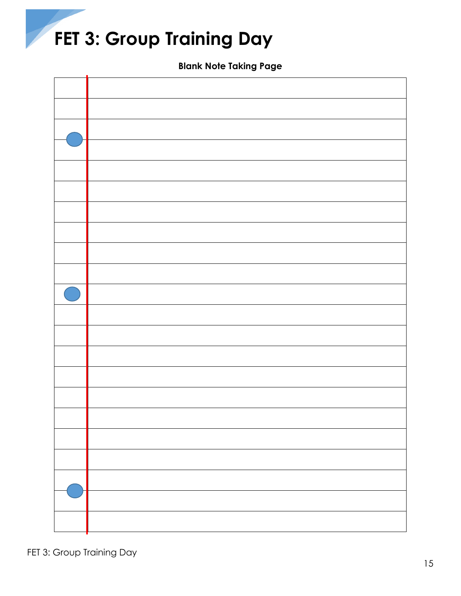**Blank Note Taking Page**

<span id="page-14-0"></span>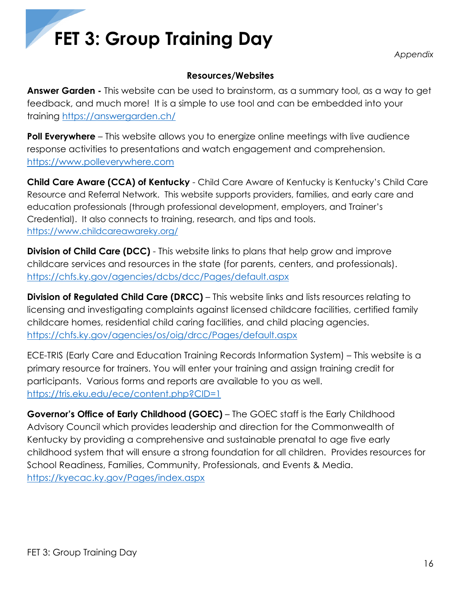*Appendix*

# **Resources/Websites**

<span id="page-15-1"></span><span id="page-15-0"></span>**Answer Garden -** This website can be used to brainstorm, as a summary tool, as a way to get feedback, and much more! It is a simple to use tool and can be embedded into your training <https://answergarden.ch/>

**Poll Everywhere** – This website allows you to energize online meetings with live audience response activities to presentations and watch engagement and comprehension. [https://www.polleverywhere.com](https://www.polleverywhere.com/)

**Child Care Aware (CCA) of Kentucky** - Child Care Aware of Kentucky is Kentucky's Child Care Resource and Referral Network. This website supports providers, families, and early care and education professionals (through professional development, employers, and Trainer's Credential). It also connects to training, research, and tips and tools. <https://www.childcareawareky.org/>

**Division of Child Care (DCC)** - This website links to plans that help grow and improve childcare services and resources in the state (for parents, centers, and professionals). <https://chfs.ky.gov/agencies/dcbs/dcc/Pages/default.aspx>

**Division of Regulated Child Care (DRCC)** – This website links and lists resources relating to licensing and investigating complaints against licensed childcare facilities, certified family childcare homes, residential child caring facilities, and child placing agencies. <https://chfs.ky.gov/agencies/os/oig/drcc/Pages/default.aspx>

ECE-TRIS (Early Care and Education Training Records Information System) – This website is a primary resource for trainers. You will enter your training and assign training credit for participants. Various forms and reports are available to you as well. <https://tris.eku.edu/ece/content.php?CID=1>

**Governor's Office of Early Childhood (GOEC)** – The GOEC staff is the Early Childhood Advisory Council which provides leadership and direction for the Commonwealth of Kentucky by providing a comprehensive and sustainable prenatal to age five early childhood system that will ensure a strong foundation for all children. Provides resources for School Readiness, Families, Community, Professionals, and Events & Media. <https://kyecac.ky.gov/Pages/index.aspx>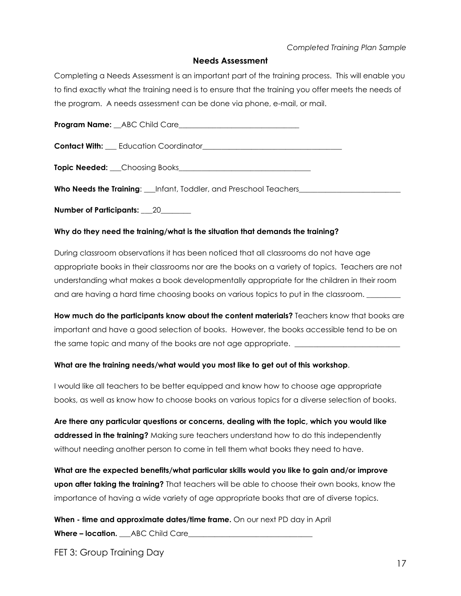### *Completed Training Plan Sample*

### **Needs Assessment**

<span id="page-16-0"></span>Completing a Needs Assessment is an important part of the training process. This will enable you to find exactly what the training need is to ensure that the training you offer meets the needs of the program. A needs assessment can be done via phone, e-mail, or mail.

**Program Name:** ABC Child Care

**Contact With:** \_\_\_ Education Coordinator\_\_\_\_\_\_\_\_\_\_\_\_\_\_\_\_\_\_\_\_\_\_\_\_\_\_\_\_\_\_\_\_\_\_\_\_\_

**Topic Needed:** \_\_\_Choosing Books\_\_\_\_\_\_\_\_\_\_\_\_\_\_\_\_\_\_\_\_\_\_\_\_\_\_\_\_\_\_\_\_\_\_\_

**Who Needs the Training:** Linfant, Toddler, and Preschool Teachers

**Number of Participants:** \_\_\_20\_\_\_\_\_\_\_\_

### **Why do they need the training/what is the situation that demands the training?**

During classroom observations it has been noticed that all classrooms do not have age appropriate books in their classrooms nor are the books on a variety of topics. Teachers are not understanding what makes a book developmentally appropriate for the children in their room and are having a hard time choosing books on various topics to put in the classroom.

**How much do the participants know about the content materials?** Teachers know that books are important and have a good selection of books. However, the books accessible tend to be on the same topic and many of the books are not age appropriate.

#### **What are the training needs/what would you most like to get out of this workshop**.

I would like all teachers to be better equipped and know how to choose age appropriate books, as well as know how to choose books on various topics for a diverse selection of books.

**Are there any particular questions or concerns, dealing with the topic, which you would like addressed in the training?** Making sure teachers understand how to do this independently without needing another person to come in tell them what books they need to have.

**What are the expected benefits/what particular skills would you like to gain and/or improve upon after taking the training?** That teachers will be able to choose their own books, know the importance of having a wide variety of age appropriate books that are of diverse topics.

**When - time and approximate dates/time frame.** On our next PD day in April **Where – location.** ABC Child Care

FET 3: Group Training Day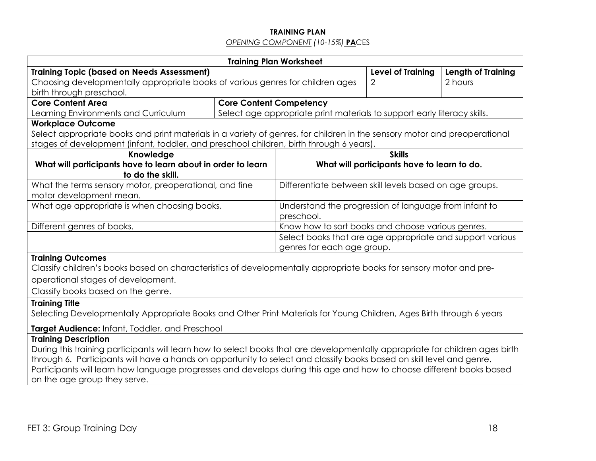## **TRAINING PLAN** *OPENING COMPONENT (10-15%)* **PA**CES

| <b>Training Topic (based on Needs Assessment)</b>                                                                                                    |                                                                                                                                                                        |                                                                                |                                                                                                                                                                                                                                                                                                                                                                                                                                                                                                                                                                                                                                                                                                                                                                                                                                                                                                                     |  |
|------------------------------------------------------------------------------------------------------------------------------------------------------|------------------------------------------------------------------------------------------------------------------------------------------------------------------------|--------------------------------------------------------------------------------|---------------------------------------------------------------------------------------------------------------------------------------------------------------------------------------------------------------------------------------------------------------------------------------------------------------------------------------------------------------------------------------------------------------------------------------------------------------------------------------------------------------------------------------------------------------------------------------------------------------------------------------------------------------------------------------------------------------------------------------------------------------------------------------------------------------------------------------------------------------------------------------------------------------------|--|
| Choosing developmentally appropriate books of various genres for children ages                                                                       |                                                                                                                                                                        |                                                                                | 2 hours                                                                                                                                                                                                                                                                                                                                                                                                                                                                                                                                                                                                                                                                                                                                                                                                                                                                                                             |  |
|                                                                                                                                                      |                                                                                                                                                                        |                                                                                |                                                                                                                                                                                                                                                                                                                                                                                                                                                                                                                                                                                                                                                                                                                                                                                                                                                                                                                     |  |
|                                                                                                                                                      |                                                                                                                                                                        |                                                                                |                                                                                                                                                                                                                                                                                                                                                                                                                                                                                                                                                                                                                                                                                                                                                                                                                                                                                                                     |  |
|                                                                                                                                                      |                                                                                                                                                                        |                                                                                |                                                                                                                                                                                                                                                                                                                                                                                                                                                                                                                                                                                                                                                                                                                                                                                                                                                                                                                     |  |
|                                                                                                                                                      |                                                                                                                                                                        |                                                                                |                                                                                                                                                                                                                                                                                                                                                                                                                                                                                                                                                                                                                                                                                                                                                                                                                                                                                                                     |  |
|                                                                                                                                                      |                                                                                                                                                                        |                                                                                |                                                                                                                                                                                                                                                                                                                                                                                                                                                                                                                                                                                                                                                                                                                                                                                                                                                                                                                     |  |
|                                                                                                                                                      |                                                                                                                                                                        |                                                                                |                                                                                                                                                                                                                                                                                                                                                                                                                                                                                                                                                                                                                                                                                                                                                                                                                                                                                                                     |  |
|                                                                                                                                                      |                                                                                                                                                                        |                                                                                |                                                                                                                                                                                                                                                                                                                                                                                                                                                                                                                                                                                                                                                                                                                                                                                                                                                                                                                     |  |
|                                                                                                                                                      |                                                                                                                                                                        |                                                                                |                                                                                                                                                                                                                                                                                                                                                                                                                                                                                                                                                                                                                                                                                                                                                                                                                                                                                                                     |  |
|                                                                                                                                                      |                                                                                                                                                                        |                                                                                |                                                                                                                                                                                                                                                                                                                                                                                                                                                                                                                                                                                                                                                                                                                                                                                                                                                                                                                     |  |
|                                                                                                                                                      |                                                                                                                                                                        |                                                                                |                                                                                                                                                                                                                                                                                                                                                                                                                                                                                                                                                                                                                                                                                                                                                                                                                                                                                                                     |  |
|                                                                                                                                                      |                                                                                                                                                                        |                                                                                |                                                                                                                                                                                                                                                                                                                                                                                                                                                                                                                                                                                                                                                                                                                                                                                                                                                                                                                     |  |
|                                                                                                                                                      |                                                                                                                                                                        |                                                                                |                                                                                                                                                                                                                                                                                                                                                                                                                                                                                                                                                                                                                                                                                                                                                                                                                                                                                                                     |  |
|                                                                                                                                                      |                                                                                                                                                                        |                                                                                |                                                                                                                                                                                                                                                                                                                                                                                                                                                                                                                                                                                                                                                                                                                                                                                                                                                                                                                     |  |
|                                                                                                                                                      |                                                                                                                                                                        |                                                                                |                                                                                                                                                                                                                                                                                                                                                                                                                                                                                                                                                                                                                                                                                                                                                                                                                                                                                                                     |  |
|                                                                                                                                                      |                                                                                                                                                                        |                                                                                |                                                                                                                                                                                                                                                                                                                                                                                                                                                                                                                                                                                                                                                                                                                                                                                                                                                                                                                     |  |
|                                                                                                                                                      |                                                                                                                                                                        |                                                                                |                                                                                                                                                                                                                                                                                                                                                                                                                                                                                                                                                                                                                                                                                                                                                                                                                                                                                                                     |  |
|                                                                                                                                                      |                                                                                                                                                                        |                                                                                |                                                                                                                                                                                                                                                                                                                                                                                                                                                                                                                                                                                                                                                                                                                                                                                                                                                                                                                     |  |
|                                                                                                                                                      |                                                                                                                                                                        |                                                                                |                                                                                                                                                                                                                                                                                                                                                                                                                                                                                                                                                                                                                                                                                                                                                                                                                                                                                                                     |  |
|                                                                                                                                                      |                                                                                                                                                                        |                                                                                |                                                                                                                                                                                                                                                                                                                                                                                                                                                                                                                                                                                                                                                                                                                                                                                                                                                                                                                     |  |
|                                                                                                                                                      |                                                                                                                                                                        |                                                                                |                                                                                                                                                                                                                                                                                                                                                                                                                                                                                                                                                                                                                                                                                                                                                                                                                                                                                                                     |  |
|                                                                                                                                                      |                                                                                                                                                                        |                                                                                |                                                                                                                                                                                                                                                                                                                                                                                                                                                                                                                                                                                                                                                                                                                                                                                                                                                                                                                     |  |
| Target Audience: Infant, Toddler, and Preschool                                                                                                      |                                                                                                                                                                        |                                                                                |                                                                                                                                                                                                                                                                                                                                                                                                                                                                                                                                                                                                                                                                                                                                                                                                                                                                                                                     |  |
|                                                                                                                                                      |                                                                                                                                                                        |                                                                                |                                                                                                                                                                                                                                                                                                                                                                                                                                                                                                                                                                                                                                                                                                                                                                                                                                                                                                                     |  |
| During this training participants will learn how to select books that are developmentally appropriate for children ages birth                        |                                                                                                                                                                        |                                                                                |                                                                                                                                                                                                                                                                                                                                                                                                                                                                                                                                                                                                                                                                                                                                                                                                                                                                                                                     |  |
| through 6. Participants will have a hands on opportunity to select and classify books based on skill level and genre.                                |                                                                                                                                                                        |                                                                                |                                                                                                                                                                                                                                                                                                                                                                                                                                                                                                                                                                                                                                                                                                                                                                                                                                                                                                                     |  |
| Participants will learn how language progresses and develops during this age and how to choose different books based<br>on the age group they serve. |                                                                                                                                                                        |                                                                                |                                                                                                                                                                                                                                                                                                                                                                                                                                                                                                                                                                                                                                                                                                                                                                                                                                                                                                                     |  |
|                                                                                                                                                      |                                                                                                                                                                        |                                                                                |                                                                                                                                                                                                                                                                                                                                                                                                                                                                                                                                                                                                                                                                                                                                                                                                                                                                                                                     |  |
|                                                                                                                                                      | What will participants have to learn about in order to learn<br>What the terms sensory motor, preoperational, and fine<br>What age appropriate is when choosing books. | <b>Training Plan Worksheet</b><br><b>Core Content Competency</b><br>preschool. | <b>Level of Training</b><br>2<br>Select age appropriate print materials to support early literacy skills.<br>Select appropriate books and print materials in a variety of genres, for children in the sensory motor and preoperational<br>stages of development (infant, toddler, and preschool children, birth through 6 years).<br><b>Skills</b><br>What will participants have to learn to do.<br>Differentiate between skill levels based on age groups.<br>Understand the progression of language from infant to<br>Know how to sort books and choose various genres.<br>Select books that are age appropriate and support various<br>genres for each age group.<br>Classify children's books based on characteristics of developmentally appropriate books for sensory motor and pre-<br>Selecting Developmentally Appropriate Books and Other Print Materials for Young Children, Ages Birth through 6 years |  |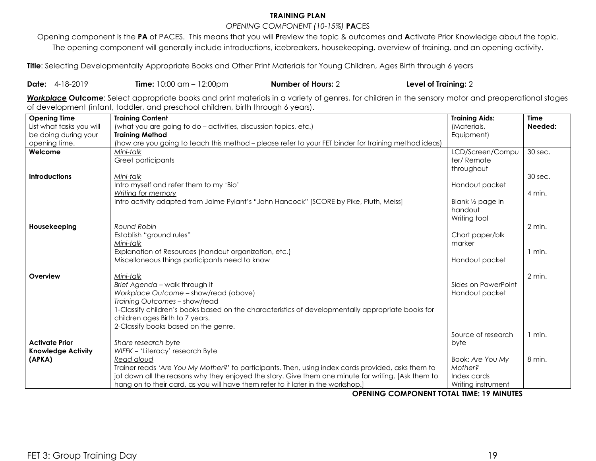# **TRAINING PLAN**

## *OPENING COMPONENT (10-15%)* **PA**CES

Opening component is the **PA** of PACES. This means that you will **P**review the topic & outcomes and **A**ctivate Prior Knowledge about the topic. The opening component will generally include introductions, icebreakers, housekeeping, overview of training, and an opening activity.

Title: Selecting Developmentally Appropriate Books and Other Print Materials for Young Children, Ages Birth through 6 years

## **Date:** 4-18-2019 **Time:** 10:00 am – 12:00pm **Number of Hours:** 2 **Level of Training:** 2

*Workplace* **Outcome**: Select appropriate books and print materials in a variety of genres, for children in the sensory motor and preoperational stages of development (infant, toddler, and preschool children, birth through 6 years).

| <b>Opening Time</b>       | <b>Training Content</b>                                                                              | <b>Training Aids:</b>       | <b>Time</b> |
|---------------------------|------------------------------------------------------------------------------------------------------|-----------------------------|-------------|
| List what tasks you will  | (what you are going to do - activities, discussion topics, etc.)                                     | (Materials,                 | Needed:     |
| be doing during your      | <b>Training Method</b>                                                                               | Equipment)                  |             |
| opening time.             | (how are you going to teach this method - please refer to your FET binder for training method ideas) |                             |             |
| Welcome                   | Mini-talk                                                                                            | LCD/Screen/Compu            | 30 sec.     |
|                           | Greet participants                                                                                   | ter/Remote                  |             |
|                           |                                                                                                      | throughout                  |             |
| <b>Introductions</b>      | Mini-talk                                                                                            |                             | 30 sec.     |
|                           | Intro myself and refer them to my 'Bio'                                                              | Handout packet              |             |
|                           | Writing for memory                                                                                   |                             | 4 min.      |
|                           | Intro activity adapted from Jaime Pylant's "John Hancock" [SCORE by Pike, Pluth, Meiss]              | Blank $\frac{1}{2}$ page in |             |
|                           |                                                                                                      | handout                     |             |
|                           |                                                                                                      | Writing tool                |             |
| Housekeeping              | Round Robin                                                                                          |                             | 2 min.      |
|                           | Establish "ground rules"                                                                             | Chart paper/blk             |             |
|                           | Mini-talk                                                                                            | marker                      |             |
|                           | Explanation of Resources (handout organization, etc.)                                                |                             | 1 min.      |
|                           | Miscellaneous things participants need to know                                                       | Handout packet              |             |
|                           |                                                                                                      |                             |             |
| Overview                  | Mini-talk                                                                                            |                             | 2 min.      |
|                           | Brief Agenda - walk through it                                                                       | Sides on PowerPoint         |             |
|                           | Workplace Outcome - show/read (above)                                                                | Handout packet              |             |
|                           | Training Outcomes - show/read                                                                        |                             |             |
|                           | 1-Classify children's books based on the characteristics of developmentally appropriate books for    |                             |             |
|                           | children ages Birth to 7 years.                                                                      |                             |             |
|                           | 2-Classify books based on the genre.                                                                 |                             |             |
|                           |                                                                                                      | Source of research          | 1 min.      |
| <b>Activate Prior</b>     | Share research byte                                                                                  | byte                        |             |
| <b>Knowledge Activity</b> | WIFFK - 'Literacy' research Byte                                                                     |                             |             |
| (APKA)                    | Read aloud                                                                                           | Book: Are You My            | 8 min.      |
|                           | Trainer reads 'Are You My Mother?' to participants. Then, using index cards provided, asks them to   | Mother?                     |             |
|                           | jot down all the reasons why they enjoyed the story. Give them one minute for writing. [Ask them to  | Index cards                 |             |
|                           | hang on to their card, as you will have them refer to it later in the workshop.]<br>$\blacksquare$   | Writing instrument          |             |

**OPENING COMPONENT TOTAL TIME: 19 MINUTES**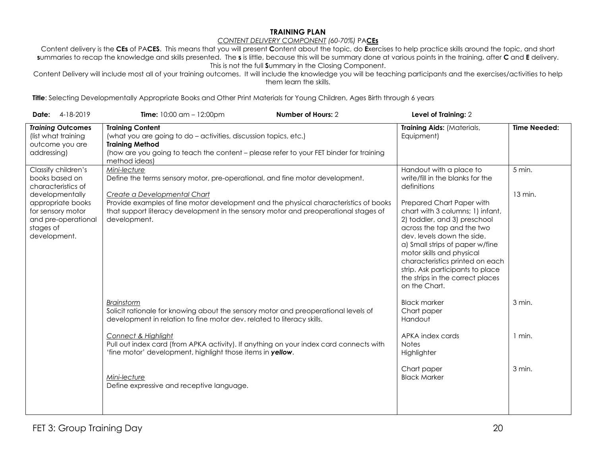#### **TRAINING PLAN**

#### *CONTENT DELIVERY COMPONENT (60-70%)* PA**CEs**

Content delivery is the **CEs** of PA**CES**. This means that you will present **C**ontent about the topic, do **E**xercises to help practice skills around the topic, and short **s**ummaries to recap the knowledge and skills presented. The **s** is little, because this will be summary done at various points in the training, after **C** and **E** delivery. This is not the full **S**ummary in the Closing Component.

Content Delivery will include most all of your training outcomes. It will include the knowledge you will be teaching participants and the exercises/activities to help them learn the skills.

Title: Selecting Developmentally Appropriate Books and Other Print Materials for Young Children, Ages Birth through 6 years

| 4-18-2019<br>Date:                                                                                                                                                           | Number of Hours: 2<br><b>Time:</b> $10:00$ am $- 12:00$ pm                                                                                                                                                                                                                                                                  | Level of Training: 2                                                                                                                                                                                                                                                                                                                                                                                                                |                     |
|------------------------------------------------------------------------------------------------------------------------------------------------------------------------------|-----------------------------------------------------------------------------------------------------------------------------------------------------------------------------------------------------------------------------------------------------------------------------------------------------------------------------|-------------------------------------------------------------------------------------------------------------------------------------------------------------------------------------------------------------------------------------------------------------------------------------------------------------------------------------------------------------------------------------------------------------------------------------|---------------------|
| <b>Training Outcomes</b><br>(list what training<br>outcome you are<br>addressing)                                                                                            | <b>Training Content</b><br>(what you are going to do - activities, discussion topics, etc.)<br><b>Training Method</b><br>(how are you going to teach the content - please refer to your FET binder for training<br>method ideas)                                                                                            | Training Aids: (Materials,<br>Equipment)                                                                                                                                                                                                                                                                                                                                                                                            | <b>Time Needed:</b> |
| Classify children's<br>books based on<br>characteristics of<br>developmentally<br>appropriate books<br>for sensory motor<br>and pre-operational<br>stages of<br>development. | Mini-lecture<br>Define the terms sensory motor, pre-operational, and fine motor development.<br>Create a Developmental Chart<br>Provide examples of fine motor development and the physical characteristics of books<br>that support literacy development in the sensory motor and preoperational stages of<br>development. | Handout with a place to<br>write/fill in the blanks for the<br>definitions<br>Prepared Chart Paper with<br>chart with 3 columns; 1) infant,<br>2) toddler, and 3) preschool<br>across the top and the two<br>dev. levels down the side.<br>a) Small strips of paper w/fine<br>motor skills and physical<br>characteristics printed on each<br>strip. Ask participants to place<br>the strips in the correct places<br>on the Chart. | 5 min.<br>13 min.   |
|                                                                                                                                                                              | <b>Brainstorm</b><br>Solicit rationale for knowing about the sensory motor and preoperational levels of<br>development in relation to fine motor dev. related to literacy skills.<br>Connect & Highlight<br>Pull out index card (from APKA activity). If anything on your index card connects with                          | <b>Black marker</b><br>Chart paper<br>Handout<br>APKA index cards<br><b>Notes</b>                                                                                                                                                                                                                                                                                                                                                   | 3 min.<br>$1$ min.  |
|                                                                                                                                                                              | 'fine motor' development, highlight those items in yellow.<br>Mini-lecture<br>Define expressive and receptive language.                                                                                                                                                                                                     | Highlighter<br>Chart paper<br><b>Black Marker</b>                                                                                                                                                                                                                                                                                                                                                                                   | 3 min.              |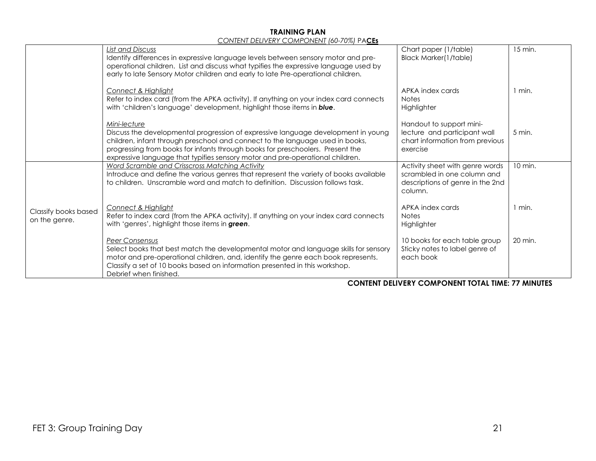#### **TRAINING PLAN** *CONTENT DELIVERY COMPONENT (60-70%)* PA**CEs**

|                      | CONTENT DELIVERT CONTI ONENT 100-7 0701 TA <u>CLS</u>                                                                                   |                                                                |                   |
|----------------------|-----------------------------------------------------------------------------------------------------------------------------------------|----------------------------------------------------------------|-------------------|
|                      | <b>List and Discuss</b>                                                                                                                 | Chart paper (1/table)                                          | 15 min.           |
|                      | Identify differences in expressive language levels between sensory motor and pre-                                                       | Black Marker(1/table)                                          |                   |
|                      | operational children. List and discuss what typifies the expressive language used by                                                    |                                                                |                   |
|                      | early to late Sensory Motor children and early to late Pre-operational children.                                                        |                                                                |                   |
|                      | <b>Connect &amp; Highlight</b>                                                                                                          | APKA index cards                                               | 1 min.            |
|                      | Refer to index card (from the APKA activity). If anything on your index card connects                                                   | <b>Notes</b>                                                   |                   |
|                      | with 'children's language' development, highlight those items in blue.                                                                  | Highlighter                                                    |                   |
|                      |                                                                                                                                         |                                                                |                   |
|                      | Mini-lecture                                                                                                                            | Handout to support mini-                                       |                   |
|                      | Discuss the developmental progression of expressive language development in young                                                       | lecture and participant wall                                   | $5 \text{ min}$ . |
|                      | children, infant through preschool and connect to the language used in books,                                                           | chart information from previous                                |                   |
|                      | progressing from books for infants through books for preschoolers. Present the                                                          | exercise                                                       |                   |
|                      | expressive language that typifies sensory motor and pre-operational children.                                                           |                                                                |                   |
|                      | Word Scramble and Crisscross Matching Activity<br>Introduce and define the various genres that represent the variety of books available | Activity sheet with genre words<br>scrambled in one column and | 10 min.           |
|                      | to children. Unscramble word and match to definition. Discussion follows task.                                                          | descriptions of genre in the 2nd                               |                   |
|                      |                                                                                                                                         | column.                                                        |                   |
|                      |                                                                                                                                         |                                                                |                   |
|                      | Connect & Highlight                                                                                                                     | APKA index cards                                               | $1$ min.          |
| Classify books based | Refer to index card (from the APKA activity). If anything on your index card connects                                                   | <b>Notes</b>                                                   |                   |
| on the genre.        | with 'genres', highlight those items in green.                                                                                          | Highlighter                                                    |                   |
|                      |                                                                                                                                         |                                                                |                   |
|                      | Peer Consensus                                                                                                                          | 10 books for each table group                                  | 20 min.           |
|                      | Select books that best match the developmental motor and language skills for sensory                                                    | Sticky notes to label genre of                                 |                   |
|                      | motor and pre-operational children, and, identify the genre each book represents.                                                       | each book                                                      |                   |
|                      | Classify a set of 10 books based on information presented in this workshop.<br>Debrief when finished.                                   |                                                                |                   |
|                      |                                                                                                                                         |                                                                |                   |

#### **CONTENT DELIVERY COMPONENT TOTAL TIME: 77 MINUTES**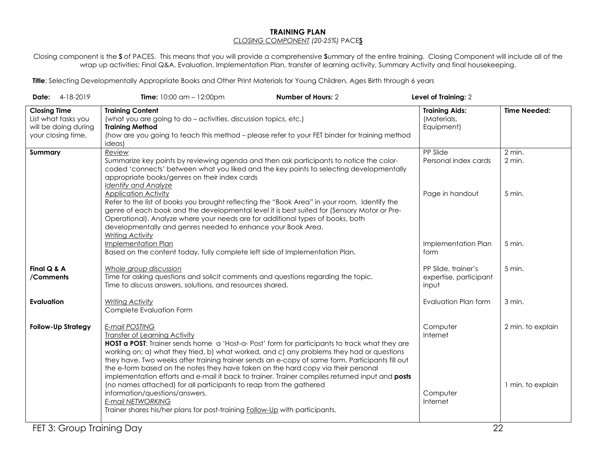#### **TRAINING PLAN** *CLOSING COMPONENT (20-25%)* PACE**S**

Closing component is the **S** of PACES. This means that you will provide a comprehensive **S**ummary of the entire training. Closing Component will include all of the wrap up activities: Final Q&A, Evaluation, Implementation Plan, transfer of learning activity, Summary Activity and final housekeeping.

Title: Selecting Developmentally Appropriate Books and Other Print Materials for Young Children, Ages Birth through 6 years

| Date: 4-18-2019                                                                          | <b>Time:</b> $10:00$ am $- 12:00$ pm                                                                                                                                                                                                                                                                                                                                                                                                                                                                                                                   | Number of Hours: 2 | Level of Training: 2                                   |                     |
|------------------------------------------------------------------------------------------|--------------------------------------------------------------------------------------------------------------------------------------------------------------------------------------------------------------------------------------------------------------------------------------------------------------------------------------------------------------------------------------------------------------------------------------------------------------------------------------------------------------------------------------------------------|--------------------|--------------------------------------------------------|---------------------|
| <b>Closing Time</b><br>List what tasks you<br>will be doing during<br>your closing time. | <b>Training Content</b><br>(what you are going to do - activities, discussion topics, etc.)<br><b>Training Method</b><br>(how are you going to teach this method - please refer to your FET binder for training method<br>ideas)                                                                                                                                                                                                                                                                                                                       |                    | <b>Training Aids:</b><br>(Materials,<br>Equipment)     | <b>Time Needed:</b> |
| Summary                                                                                  | Review<br>Summarize key points by reviewing agenda and then ask participants to notice the color-<br>coded 'connects' between what you liked and the key points to selecting developmentally<br>appropriate books/genres on their index cards<br><b>Identify and Analyze</b>                                                                                                                                                                                                                                                                           |                    | PP Slide<br>Personal index cards                       | 2 min.<br>2 min.    |
|                                                                                          | <b>Application Activity</b><br>Refer to the list of books you brought reflecting the "Book Area" in your room. Identify the<br>genre of each book and the developmental level it is best suited for (Sensory Motor or Pre-<br>Operational). Analyze where your needs are for additional types of books, both<br>developmentally and genres needed to enhance your Book Area.<br><b>Writing Activity</b>                                                                                                                                                |                    | Page in handout                                        | 5 min.              |
|                                                                                          | Implementation Plan<br>Based on the content today, fully complete left side of Implementation Plan.                                                                                                                                                                                                                                                                                                                                                                                                                                                    |                    | Implementation Plan<br>form                            | 5 min.              |
| Final Q & A<br>/Comments                                                                 | Whole group discussion<br>Time for asking questions and solicit comments and questions regarding the topic.<br>Time to discuss answers, solutions, and resources shared.                                                                                                                                                                                                                                                                                                                                                                               |                    | PP Slide, trainer's<br>expertise, participant<br>input | 5 min.              |
| <b>Evaluation</b>                                                                        | <b>Writing Activity</b><br>Complete Evaluation Form                                                                                                                                                                                                                                                                                                                                                                                                                                                                                                    |                    | Evaluation Plan form                                   | 3 min.              |
| <b>Follow-Up Strategy</b>                                                                | <b>E-mail POSTING</b><br><b>Transfer of Learning Activity</b><br>HOST a POST: Trainer sends home a 'Host-a- Post' form for participants to track what they are<br>working on; a) what they tried, b) what worked, and c) any problems they had or questions<br>they have. Two weeks after training trainer sends an e-copy of same form. Participants fill out<br>the e-form based on the notes they have taken on the hard copy via their personal<br>implementation efforts and e-mail it back to trainer. Trainer compiles returned input and posts |                    | Computer<br>Internet                                   | 2 min. to explain   |
|                                                                                          | (no names attached) for all participants to reap from the gathered<br>information/questions/answers.<br>E-mail NETWORKING<br>Trainer shares his/her plans for post-training Follow-Up with participants.                                                                                                                                                                                                                                                                                                                                               |                    | Computer<br>Internet                                   | 1 min. to explain   |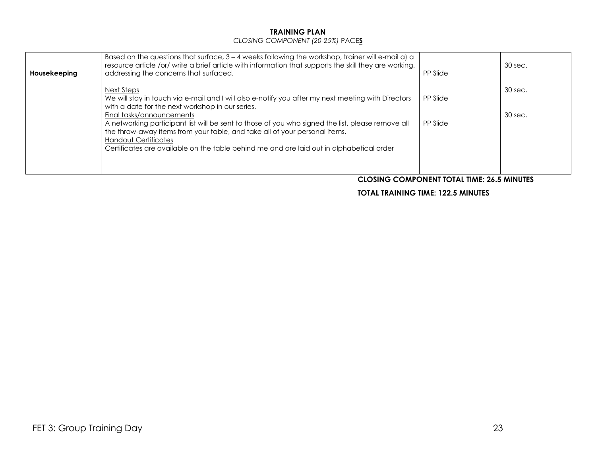### **TRAINING PLAN** *CLOSING COMPONENT (20-25%)* PACE**S**

| Housekeeping | Based on the questions that surface, $3 - 4$ weeks following the workshop, trainer will e-mail a) a<br>resource article /or/ write a brief article with information that supports the skill they are working,<br>addressing the concerns that surfaced.                                                                                                                                                             | PP Slide             | 30 sec.            |
|--------------|---------------------------------------------------------------------------------------------------------------------------------------------------------------------------------------------------------------------------------------------------------------------------------------------------------------------------------------------------------------------------------------------------------------------|----------------------|--------------------|
|              | Next Steps<br>We will stay in touch via e-mail and I will also e-notify you after my next meeting with Directors<br>with a date for the next workshop in our series.<br>Final tasks/announcements<br>A networking participant list will be sent to those of you who signed the list, please remove all<br>the throw-away items from your table, and take all of your personal items.<br><b>Handout Certificates</b> | PP Slide<br>PP Slide | 30 sec.<br>30 sec. |
|              | Certificates are available on the table behind me and are laid out in alphabetical order                                                                                                                                                                                                                                                                                                                            |                      |                    |

### **CLOSING COMPONENT TOTAL TIME: 26.5 MINUTES**

### **TOTAL TRAINING TIME: 122.5 MINUTES**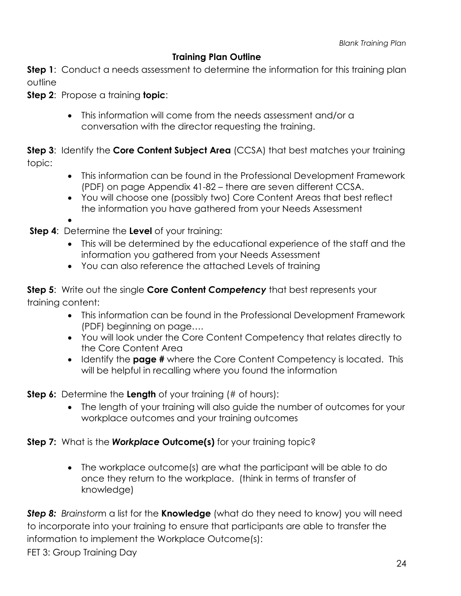# **Training Plan Outline**

<span id="page-23-0"></span>**Step 1**: Conduct a needs assessment to determine the information for this training plan outline

**Step 2**: Propose a training **topic**:

• This information will come from the needs assessment and/or a conversation with the director requesting the training.

**Step 3**: Identify the **Core Content Subject Area** (CCSA) that best matches your training topic:

- This information can be found in the Professional Development Framework (PDF) on page Appendix 41-82 – there are seven different CCSA.
- You will choose one (possibly two) Core Content Areas that best reflect the information you have gathered from your Needs Assessment
- **Step 4**: Determine the **Level** of your training:
	- This will be determined by the educational experience of the staff and the information you gathered from your Needs Assessment
	- You can also reference the attached Levels of training

**Step 5**: Write out the single **Core Content** *Competency* that best represents your training content:

- This information can be found in the Professional Development Framework (PDF) beginning on page….
- You will look under the Core Content Competency that relates directly to the Core Content Area
- Identify the **page #** where the Core Content Competency is located. This will be helpful in recalling where you found the information

**Step 6:** Determine the **Length** of your training (# of hours):

• The length of your training will also guide the number of outcomes for your workplace outcomes and your training outcomes

# **Step 7:** What is the *Workplace* **Outcome(s)** for your training topic?

• The workplace outcome(s) are what the participant will be able to do once they return to the workplace. (think in terms of transfer of knowledge)

*Step 8: Brainstor*m a list for the **Knowledge** (what do they need to know) you will need to incorporate into your training to ensure that participants are able to transfer the information to implement the Workplace Outcome(s):

FET 3: Group Training Day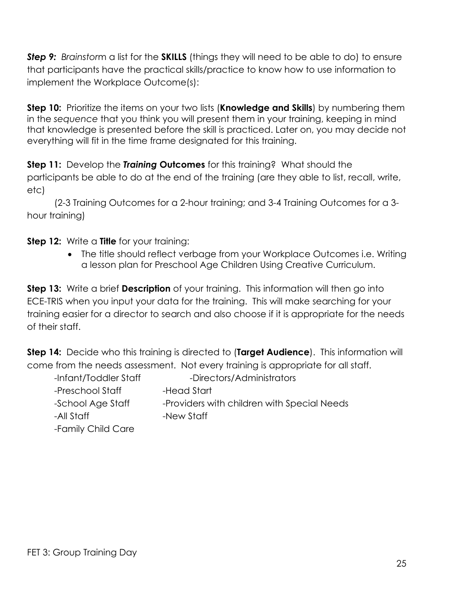**Step 9:** Brainstorm a list for the **SKILLS** (things they will need to be able to do) to ensure that participants have the practical skills/practice to know how to use information to implement the Workplace Outcome(s):

**Step 10:** Prioritize the items on your two lists (**Knowledge and Skills**) by numbering them in the *sequence* that you think you will present them in your training, keeping in mind that knowledge is presented before the skill is practiced. Later on, you may decide not everything will fit in the time frame designated for this training.

**Step 11:** Develop the *Training* **Outcomes** for this training? What should the participants be able to do at the end of the training (are they able to list, recall, write, etc)

(2-3 Training Outcomes for a 2-hour training; and 3-4 Training Outcomes for a 3 hour training)

**Step 12:** Write a **Title** for your training:

• The title should reflect verbage from your Workplace Outcomes i.e. Writing a lesson plan for Preschool Age Children Using Creative Curriculum.

**Step 13:** Write a brief **Description** of your training. This information will then go into ECE-TRIS when you input your data for the training. This will make searching for your training easier for a director to search and also choose if it is appropriate for the needs of their staff.

**Step 14:** Decide who this training is directed to (**Target Audience**). This information will come from the needs assessment. Not every training is appropriate for all staff.

| -Infant/Toddler Staff | -Directors/Administrators                   |
|-----------------------|---------------------------------------------|
| -Preschool Staff      | -Head Start                                 |
| -School Age Staff     | -Providers with children with Special Needs |
| -All Staff            | -New Staff                                  |
| -Family Child Care    |                                             |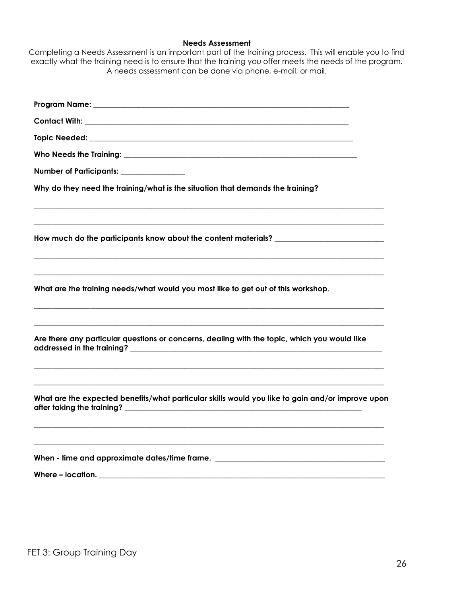## **Needs Assessment**

| Completing a Needs Assessment is an important part of the training process. This will enable you to find |
|----------------------------------------------------------------------------------------------------------|
| exactly what the training need is to ensure that the training you offer meets the needs of the program.  |
| A needs assessment can be done via phone, e-mail, or mail.                                               |
|                                                                                                          |
|                                                                                                          |

| Number of Participants: _______________                                                                                                                                                                               |
|-----------------------------------------------------------------------------------------------------------------------------------------------------------------------------------------------------------------------|
| Why do they need the training/what is the situation that demands the training?                                                                                                                                        |
| How much do the participants know about the content materials? __________________                                                                                                                                     |
| What are the training needs/what would you most like to get out of this workshop.                                                                                                                                     |
| <u> 1989 - Johann Harry Harry Harry Harry Harry Harry Harry Harry Harry Harry Harry Harry Harry Harry Harry Harry</u><br>Are there any particular questions or concerns, dealing with the topic, which you would like |
| What are the expected benefits/what particular skills would you like to gain and/or improve upon                                                                                                                      |
| When - time and approximate dates/time frame. __________________________________<br>Where - location.                                                                                                                 |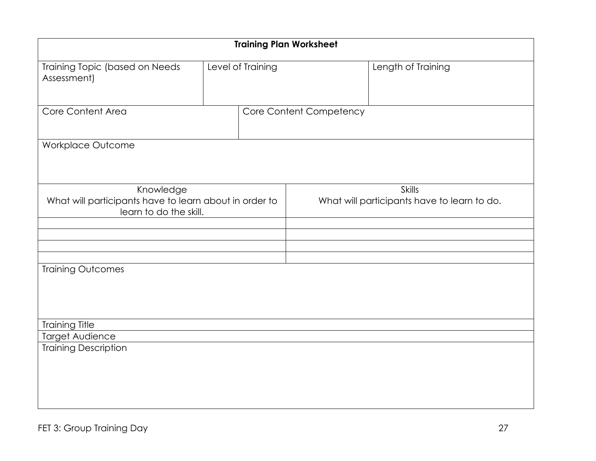| <b>Training Plan Worksheet</b>                                                                |                   |                                                              |  |  |
|-----------------------------------------------------------------------------------------------|-------------------|--------------------------------------------------------------|--|--|
| Training Topic (based on Needs<br>Assessment)                                                 | Level of Training | Length of Training                                           |  |  |
| Core Content Area                                                                             |                   | Core Content Competency                                      |  |  |
| <b>Workplace Outcome</b>                                                                      |                   |                                                              |  |  |
| Knowledge<br>What will participants have to learn about in order to<br>learn to do the skill. |                   | <b>Skills</b><br>What will participants have to learn to do. |  |  |
|                                                                                               |                   |                                                              |  |  |
|                                                                                               |                   |                                                              |  |  |
| <b>Training Outcomes</b>                                                                      |                   |                                                              |  |  |
| <b>Training Title</b>                                                                         |                   |                                                              |  |  |
| <b>Target Audience</b><br><b>Training Description</b>                                         |                   |                                                              |  |  |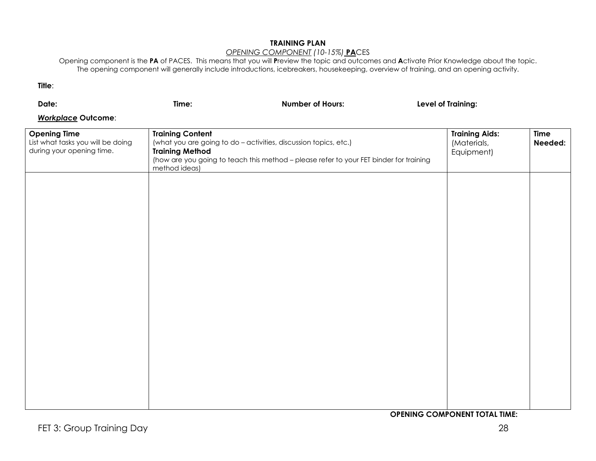## **TRAINING PLAN**

### *OPENING COMPONENT (10-15%)* **PA**CES

Opening component is the **PA** of PACES. This means that you will **P**review the topic and outcomes and **A**ctivate Prior Knowledge about the topic. The opening component will generally include introductions, icebreakers, housekeeping, overview of training, and an opening activity.

**Title**:

| Date:                                                                                 | Time:                                                              | <b>Number of Hours:</b>                                                                                                                                    | Level of Training:                                 |                        |
|---------------------------------------------------------------------------------------|--------------------------------------------------------------------|------------------------------------------------------------------------------------------------------------------------------------------------------------|----------------------------------------------------|------------------------|
| <b>Workplace Outcome:</b>                                                             |                                                                    |                                                                                                                                                            |                                                    |                        |
| <b>Opening Time</b><br>List what tasks you will be doing<br>during your opening time. | <b>Training Content</b><br><b>Training Method</b><br>method ideas) | (what you are going to do - activities, discussion topics, etc.)<br>(how are you going to teach this method - please refer to your FET binder for training | <b>Training Aids:</b><br>(Materials,<br>Equipment) | <b>Time</b><br>Needed: |
|                                                                                       |                                                                    |                                                                                                                                                            |                                                    |                        |
|                                                                                       |                                                                    |                                                                                                                                                            |                                                    |                        |
|                                                                                       |                                                                    |                                                                                                                                                            |                                                    |                        |
|                                                                                       |                                                                    |                                                                                                                                                            |                                                    |                        |
|                                                                                       |                                                                    |                                                                                                                                                            |                                                    |                        |
|                                                                                       |                                                                    |                                                                                                                                                            |                                                    |                        |

**OPENING COMPONENT TOTAL TIME:**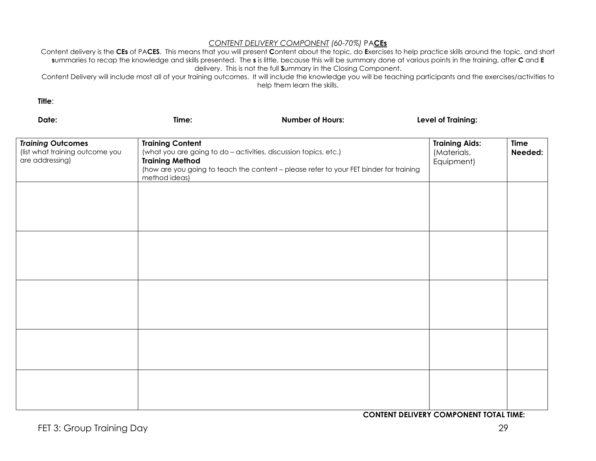### *CONTENT DELIVERY COMPONENT (60-70%)* PA**CEs**

Content delivery is the **CEs** of PA**CES**. This means that you will present **C**ontent about the topic, do **E**xercises to help practice skills around the topic, and short **s**ummaries to recap the knowledge and skills presented. The **s** is little, because this will be summary done at various points in the training, after **C** and **E** delivery. This is not the full **S**ummary in the Closing Component.

Content Delivery will include most all of your training outcomes. It will include the knowledge you will be teaching participants and the exercises/activities to help them learn the skills.

**Title**:

| Date:                                                                          | Time:                                                                                                                                                                                                                            | <b>Number of Hours:</b> | Level of Training:                                 |                        |
|--------------------------------------------------------------------------------|----------------------------------------------------------------------------------------------------------------------------------------------------------------------------------------------------------------------------------|-------------------------|----------------------------------------------------|------------------------|
| <b>Training Outcomes</b><br>(list what training outcome you<br>are addressing) | <b>Training Content</b><br>(what you are going to do - activities, discussion topics, etc.)<br><b>Training Method</b><br>(how are you going to teach the content - please refer to your FET binder for training<br>method ideas) |                         | <b>Training Aids:</b><br>(Materials,<br>Equipment) | <b>Time</b><br>Needed: |
|                                                                                |                                                                                                                                                                                                                                  |                         |                                                    |                        |
|                                                                                |                                                                                                                                                                                                                                  |                         |                                                    |                        |
|                                                                                |                                                                                                                                                                                                                                  |                         |                                                    |                        |
|                                                                                |                                                                                                                                                                                                                                  |                         |                                                    |                        |
|                                                                                |                                                                                                                                                                                                                                  |                         |                                                    |                        |

**CONTENT DELIVERY COMPONENT TOTAL TIME:**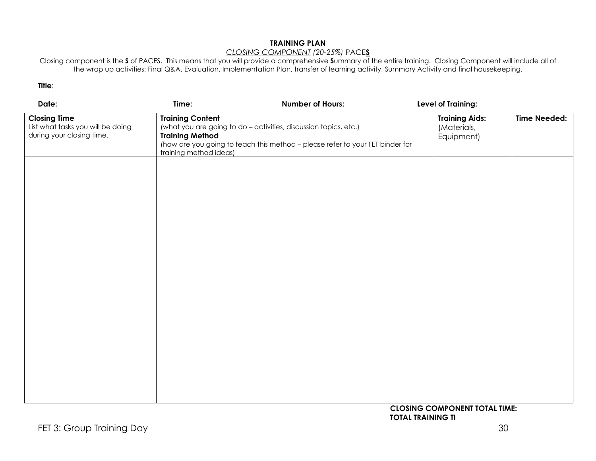## **TRAINING PLAN**

## *CLOSING COMPONENT (20-25%)* PACE**S**

Closing component is the **S** of PACES. This means that you will provide a comprehensive **S**ummary of the entire training. Closing Component will include all of the wrap up activities: Final Q&A, Evaluation, Implementation Plan, transfer of learning activity, Summary Activity and final housekeeping.

### **Title**:

| Date:                                                                                 | Time:                                                                       | <b>Number of Hours:</b>                                                                                                                           | Level of Training:                                 |                     |
|---------------------------------------------------------------------------------------|-----------------------------------------------------------------------------|---------------------------------------------------------------------------------------------------------------------------------------------------|----------------------------------------------------|---------------------|
| <b>Closing Time</b><br>List what tasks you will be doing<br>during your closing time. | <b>Training Content</b><br><b>Training Method</b><br>training method ideas) | (what you are going to do - activities, discussion topics, etc.)<br>(how are you going to teach this method - please refer to your FET binder for | <b>Training Aids:</b><br>(Materials,<br>Equipment) | <b>Time Needed:</b> |
|                                                                                       |                                                                             |                                                                                                                                                   |                                                    |                     |
|                                                                                       |                                                                             |                                                                                                                                                   |                                                    |                     |
|                                                                                       |                                                                             |                                                                                                                                                   |                                                    |                     |
|                                                                                       |                                                                             |                                                                                                                                                   |                                                    |                     |
|                                                                                       |                                                                             |                                                                                                                                                   |                                                    |                     |
|                                                                                       |                                                                             |                                                                                                                                                   | CLOSING COMPONENT TOTAL TIME.                      |                     |